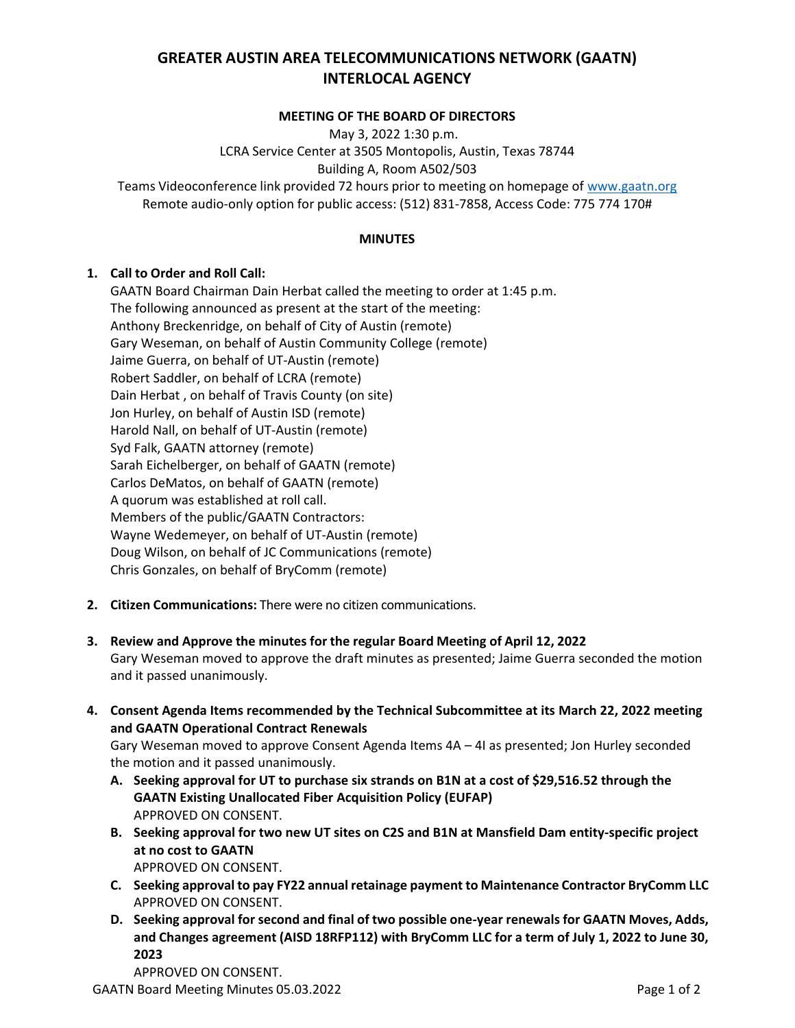# **GREATER AUSTIN AREA TELECOMMUNICATIONS NETWORK (GAATN) INTERLOCAL AGENCY**

#### **MEETING OF THE BOARD OF DIRECTORS**

May 3, 2022 1:30 p.m. LCRA Service Center at 3505 Montopolis, Austin, Texas 78744 Building A, Room A502/503 Teams Videoconference link provided 72 hours prior to meeting on homepage of [www.gaatn.org](http://www.gaatn.org/) Remote audio-only option for public access: (512) 831-7858, Access Code: 775 774 170#

#### **MINUTES**

### **1. Call to Order and Roll Call:**

GAATN Board Chairman Dain Herbat called the meeting to order at 1:45 p.m. The following announced as present at the start of the meeting: Anthony Breckenridge, on behalf of City of Austin (remote) Gary Weseman, on behalf of Austin Community College (remote) Jaime Guerra, on behalf of UT-Austin (remote) Robert Saddler, on behalf of LCRA (remote) Dain Herbat , on behalf of Travis County (on site) Jon Hurley, on behalf of Austin ISD (remote) Harold Nall, on behalf of UT-Austin (remote) Syd Falk, GAATN attorney (remote) Sarah Eichelberger, on behalf of GAATN (remote) Carlos DeMatos, on behalf of GAATN (remote) A quorum was established at roll call. Members of the public/GAATN Contractors: Wayne Wedemeyer, on behalf of UT-Austin (remote) Doug Wilson, on behalf of JC Communications (remote) Chris Gonzales, on behalf of BryComm (remote)

- **2. Citizen Communications:** There were no citizen communications.
- **3. Review and Approve the minutes for the regular Board Meeting of April 12, 2022** Gary Weseman moved to approve the draft minutes as presented; Jaime Guerra seconded the motion and it passed unanimously.
- **4. Consent Agenda Items recommended by the Technical Subcommittee at its March 22, 2022 meeting and GAATN Operational Contract Renewals**

Gary Weseman moved to approve Consent Agenda Items 4A – 4I as presented; Jon Hurley seconded the motion and it passed unanimously.

- **A. Seeking approval for UT to purchase six strands on B1N at a cost of \$29,516.52 through the GAATN Existing Unallocated Fiber Acquisition Policy (EUFAP)** APPROVED ON CONSENT.
- **B. Seeking approval for two new UT sites on C2S and B1N at Mansfield Dam entity-specific project at no cost to GAATN** APPROVED ON CONSENT.
- **C. Seeking approval to pay FY22 annual retainage payment to Maintenance Contractor BryComm LLC**  APPROVED ON CONSENT.
- **D. Seeking approval for second and final of two possible one-year renewals for GAATN Moves, Adds, and Changes agreement (AISD 18RFP112) with BryComm LLC for a term of July 1, 2022 to June 30, 2023**

APPROVED ON CONSENT.

GAATN Board Meeting Minutes 05.03.2022 **Page 1 of 2** and 2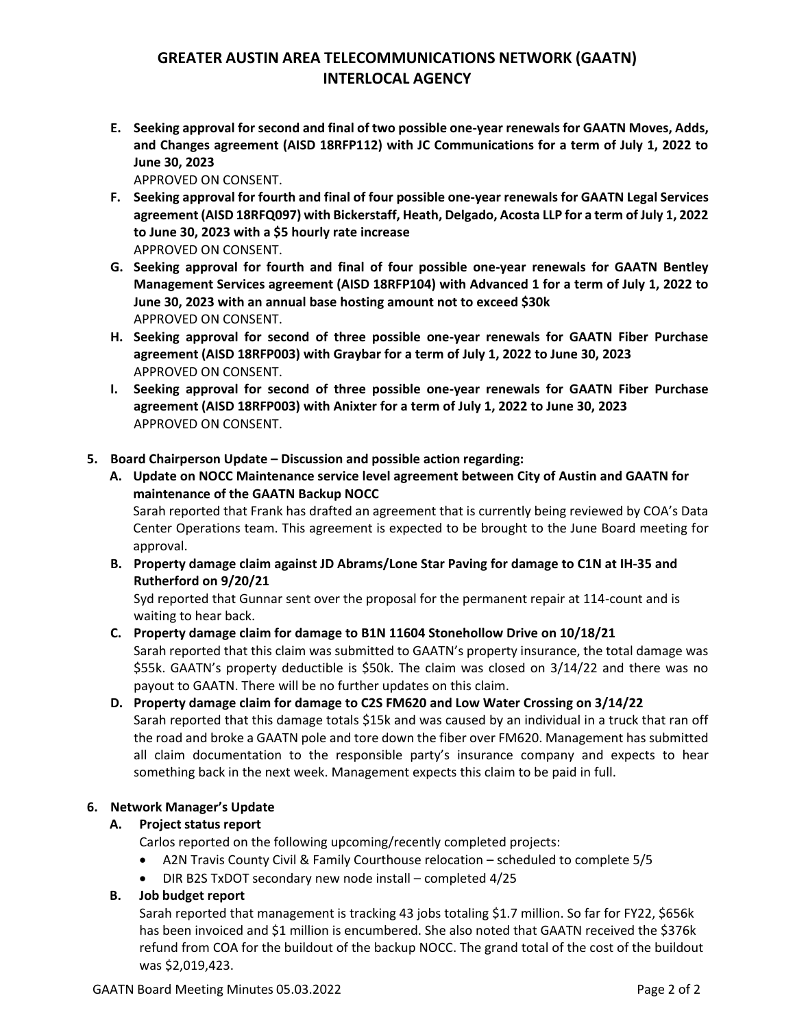## **GREATER AUSTIN AREA TELECOMMUNICATIONS NETWORK (GAATN) INTERLOCAL AGENCY**

**E. Seeking approval for second and final of two possible one-year renewals for GAATN Moves, Adds, and Changes agreement (AISD 18RFP112) with JC Communications for a term of July 1, 2022 to June 30, 2023**

APPROVED ON CONSENT.

- **F. Seeking approval for fourth and final of four possible one-year renewals for GAATN Legal Services agreement (AISD 18RFQ097) with Bickerstaff, Heath, Delgado, Acosta LLP for a term of July 1, 2022 to June 30, 2023 with a \$5 hourly rate increase** APPROVED ON CONSENT.
- **G. Seeking approval for fourth and final of four possible one-year renewals for GAATN Bentley Management Services agreement (AISD 18RFP104) with Advanced 1 for a term of July 1, 2022 to June 30, 2023 with an annual base hosting amount not to exceed \$30k** APPROVED ON CONSENT.
- **H. Seeking approval for second of three possible one-year renewals for GAATN Fiber Purchase agreement (AISD 18RFP003) with Graybar for a term of July 1, 2022 to June 30, 2023**  APPROVED ON CONSENT.
- **I. Seeking approval for second of three possible one-year renewals for GAATN Fiber Purchase agreement (AISD 18RFP003) with Anixter for a term of July 1, 2022 to June 30, 2023**  APPROVED ON CONSENT.
- **5. Board Chairperson Update – Discussion and possible action regarding:**
	- **A. Update on NOCC Maintenance service level agreement between City of Austin and GAATN for maintenance of the GAATN Backup NOCC**

Sarah reported that Frank has drafted an agreement that is currently being reviewed by COA's Data Center Operations team. This agreement is expected to be brought to the June Board meeting for approval.

**B. Property damage claim against JD Abrams/Lone Star Paving for damage to C1N at IH-35 and Rutherford on 9/20/21**

Syd reported that Gunnar sent over the proposal for the permanent repair at 114-count and is waiting to hear back.

## **C. Property damage claim for damage to B1N 11604 Stonehollow Drive on 10/18/21**

Sarah reported that this claim was submitted to GAATN's property insurance, the total damage was \$55k. GAATN's property deductible is \$50k. The claim was closed on 3/14/22 and there was no payout to GAATN. There will be no further updates on this claim.

**D. Property damage claim for damage to C2S FM620 and Low Water Crossing on 3/14/22** Sarah reported that this damage totals \$15k and was caused by an individual in a truck that ran off the road and broke a GAATN pole and tore down the fiber over FM620. Management has submitted all claim documentation to the responsible party's insurance company and expects to hear something back in the next week. Management expects this claim to be paid in full.

## **6. Network Manager's Update**

## **A. Project status report**

Carlos reported on the following upcoming/recently completed projects:

- A2N Travis County Civil & Family Courthouse relocation scheduled to complete 5/5
- DIR B2S TxDOT secondary new node install completed 4/25

## **B. Job budget report**

Sarah reported that management is tracking 43 jobs totaling \$1.7 million. So far for FY22, \$656k has been invoiced and \$1 million is encumbered. She also noted that GAATN received the \$376k refund from COA for the buildout of the backup NOCC. The grand total of the cost of the buildout was \$2,019,423.